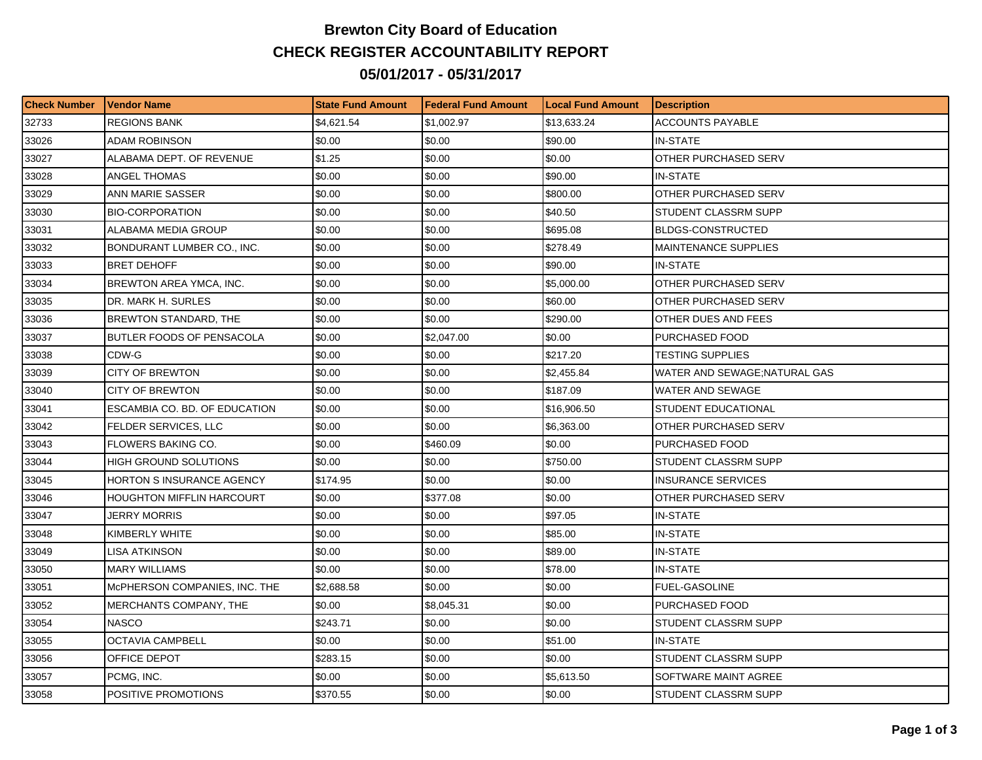## **Brewton City Board of Education CHECK REGISTER ACCOUNTABILITY REPORT 05/01/2017 - 05/31/2017**

| <b>Check Number</b> | Vendor Name                   | <b>State Fund Amount</b> | l Federal Fund Amount | <b>Local Fund Amount</b> | <b>Description</b>            |
|---------------------|-------------------------------|--------------------------|-----------------------|--------------------------|-------------------------------|
| 32733               | REGIONS BANK                  | \$4,621.54               | \$1,002.97            | \$13,633.24              | <b>ACCOUNTS PAYABLE</b>       |
| 33026               | <b>ADAM ROBINSON</b>          | \$0.00                   | \$0.00                | \$90.00                  | <b>IN-STATE</b>               |
| 33027               | ALABAMA DEPT. OF REVENUE      | \$1.25                   | \$0.00                | \$0.00                   | OTHER PURCHASED SERV          |
| 33028               | ANGEL THOMAS                  | \$0.00                   | \$0.00                | \$90.00                  | <b>IN-STATE</b>               |
| 33029               | ANN MARIE SASSER              | \$0.00                   | \$0.00                | \$800.00                 | OTHER PURCHASED SERV          |
| 33030               | <b>BIO-CORPORATION</b>        | \$0.00                   | \$0.00                | \$40.50                  | STUDENT CLASSRM SUPP          |
| 33031               | ALABAMA MEDIA GROUP           | \$0.00                   | \$0.00                | \$695.08                 | <b>BLDGS-CONSTRUCTED</b>      |
| 33032               | BONDURANT LUMBER CO., INC.    | \$0.00                   | \$0.00                | \$278.49                 | <b>MAINTENANCE SUPPLIES</b>   |
| 33033               | <b>BRET DEHOFF</b>            | \$0.00                   | \$0.00                | \$90.00                  | <b>IN-STATE</b>               |
| 33034               | BREWTON AREA YMCA, INC.       | \$0.00                   | \$0.00                | \$5,000.00               | OTHER PURCHASED SERV          |
| 33035               | DR. MARK H. SURLES            | \$0.00                   | \$0.00                | \$60.00                  | OTHER PURCHASED SERV          |
| 33036               | BREWTON STANDARD, THE         | \$0.00                   | \$0.00                | \$290.00                 | OTHER DUES AND FEES           |
| 33037               | BUTLER FOODS OF PENSACOLA     | \$0.00                   | \$2,047.00            | \$0.00                   | PURCHASED FOOD                |
| 33038               | CDW-G                         | \$0.00                   | \$0.00                | \$217.20                 | <b>TESTING SUPPLIES</b>       |
| 33039               | <b>CITY OF BREWTON</b>        | \$0.00                   | \$0.00                | \$2,455.84               | WATER AND SEWAGE; NATURAL GAS |
| 33040               | <b>CITY OF BREWTON</b>        | \$0.00                   | \$0.00                | \$187.09                 | WATER AND SEWAGE              |
| 33041               | ESCAMBIA CO. BD. OF EDUCATION | \$0.00                   | \$0.00                | \$16,906.50              | STUDENT EDUCATIONAL           |
| 33042               | FELDER SERVICES, LLC          | \$0.00                   | \$0.00                | \$6,363,00               | OTHER PURCHASED SERV          |
| 33043               | FLOWERS BAKING CO.            | \$0.00                   | \$460.09              | \$0.00                   | PURCHASED FOOD                |
| 33044               | HIGH GROUND SOLUTIONS         | \$0.00                   | \$0.00                | \$750.00                 | STUDENT CLASSRM SUPP          |
| 33045               | HORTON S INSURANCE AGENCY     | \$174.95                 | \$0.00                | \$0.00                   | <b>INSURANCE SERVICES</b>     |
| 33046               | HOUGHTON MIFFLIN HARCOURT     | \$0.00                   | \$377.08              | \$0.00                   | OTHER PURCHASED SERV          |
| 33047               | JERRY MORRIS                  | \$0.00                   | \$0.00                | \$97.05                  | <b>IN-STATE</b>               |
| 33048               | KIMBERLY WHITE                | \$0.00                   | \$0.00                | \$85.00                  | <b>IN-STATE</b>               |
| 33049               | LISA ATKINSON                 | \$0.00                   | \$0.00                | \$89.00                  | <b>IN-STATE</b>               |
| 33050               | MARY WILLIAMS                 | \$0.00                   | \$0.00                | \$78.00                  | <b>IN-STATE</b>               |
| 33051               | McPHERSON COMPANIES, INC. THE | \$2,688.58               | \$0.00                | \$0.00                   | <b>FUEL-GASOLINE</b>          |
| 33052               | MERCHANTS COMPANY, THE        | \$0.00                   | \$8,045.31            | \$0.00                   | PURCHASED FOOD                |
| 33054               | <b>NASCO</b>                  | \$243.71                 | \$0.00                | \$0.00                   | STUDENT CLASSRM SUPP          |
| 33055               | <b>OCTAVIA CAMPBELL</b>       | \$0.00                   | \$0.00                | \$51.00                  | <b>IN-STATE</b>               |
| 33056               | OFFICE DEPOT                  | \$283.15                 | \$0.00                | \$0.00                   | STUDENT CLASSRM SUPP          |
| 33057               | PCMG, INC.                    | \$0.00                   | \$0.00                | \$5,613.50               | SOFTWARE MAINT AGREE          |
| 33058               | POSITIVE PROMOTIONS           | \$370.55                 | \$0.00                | \$0.00                   | STUDENT CLASSRM SUPP          |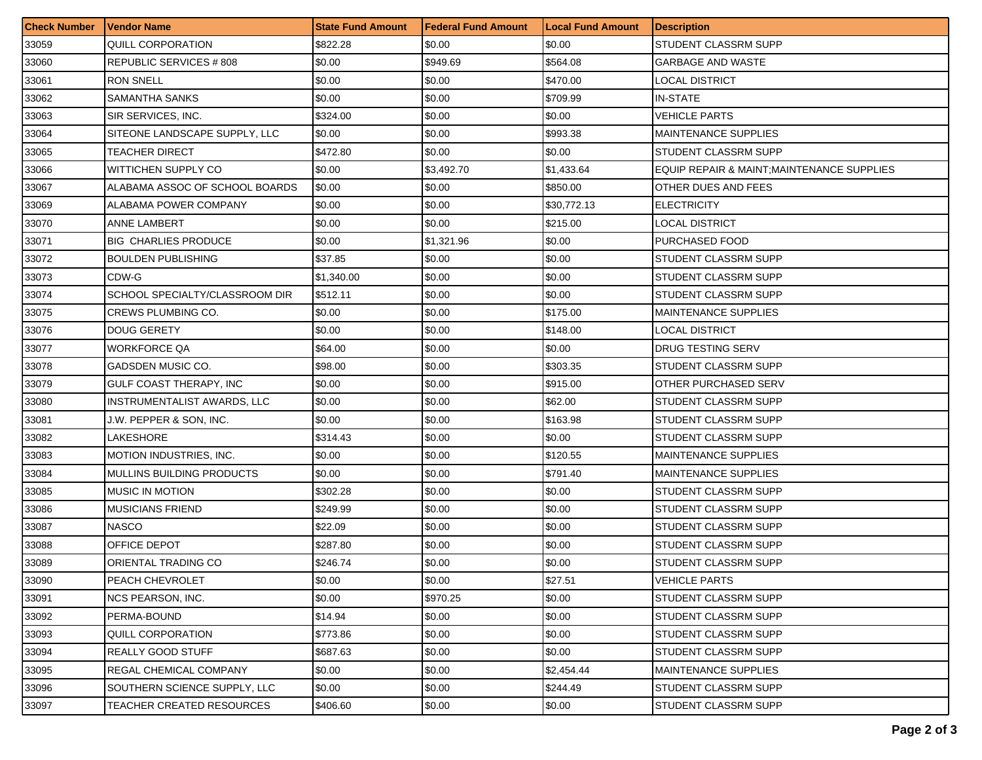| <b>Check Number</b> | <b>Vendor Name</b>             | <b>State Fund Amount</b> | <b>Federal Fund Amount</b> | <b>Local Fund Amount</b> | <b>Description</b>                         |
|---------------------|--------------------------------|--------------------------|----------------------------|--------------------------|--------------------------------------------|
| 33059               | QUILL CORPORATION              | \$822.28                 | \$0.00                     | \$0.00                   | STUDENT CLASSRM SUPP                       |
| 33060               | REPUBLIC SERVICES # 808        | \$0.00                   | \$949.69                   | \$564.08                 | <b>GARBAGE AND WASTE</b>                   |
| 33061               | <b>RON SNELL</b>               | \$0.00                   | \$0.00                     | \$470.00                 | LOCAL DISTRICT                             |
| 33062               | SAMANTHA SANKS                 | \$0.00                   | \$0.00                     | \$709.99                 | <b>IN-STATE</b>                            |
| 33063               | SIR SERVICES, INC.             | \$324.00                 | \$0.00                     | \$0.00                   | VEHICLE PARTS                              |
| 33064               | SITEONE LANDSCAPE SUPPLY, LLC  | \$0.00                   | \$0.00                     | \$993.38                 | <b>MAINTENANCE SUPPLIES</b>                |
| 33065               | TEACHER DIRECT                 | \$472.80                 | \$0.00                     | \$0.00                   | STUDENT CLASSRM SUPP                       |
| 33066               | WITTICHEN SUPPLY CO            | \$0.00                   | \$3,492.70                 | \$1,433.64               | EQUIP REPAIR & MAINT; MAINTENANCE SUPPLIES |
| 33067               | ALABAMA ASSOC OF SCHOOL BOARDS | \$0.00                   | \$0.00                     | \$850.00                 | OTHER DUES AND FEES                        |
| 33069               | ALABAMA POWER COMPANY          | \$0.00                   | \$0.00                     | \$30,772.13              | <b>ELECTRICITY</b>                         |
| 33070               | ANNE LAMBERT                   | \$0.00                   | \$0.00                     | \$215.00                 | LOCAL DISTRICT                             |
| 33071               | <b>BIG CHARLIES PRODUCE</b>    | \$0.00                   | \$1,321.96                 | \$0.00                   | PURCHASED FOOD                             |
| 33072               | <b>BOULDEN PUBLISHING</b>      | \$37.85                  | \$0.00                     | \$0.00                   | STUDENT CLASSRM SUPP                       |
| 33073               | CDW-G                          | \$1,340.00               | \$0.00                     | \$0.00                   | STUDENT CLASSRM SUPP                       |
| 33074               | SCHOOL SPECIALTY/CLASSROOM DIR | \$512.11                 | \$0.00                     | \$0.00                   | STUDENT CLASSRM SUPP                       |
| 33075               | CREWS PLUMBING CO.             | \$0.00                   | \$0.00                     | \$175.00                 | <b>MAINTENANCE SUPPLIES</b>                |
| 33076               | <b>DOUG GERETY</b>             | \$0.00                   | \$0.00                     | \$148.00                 | LOCAL DISTRICT                             |
| 33077               | <b>WORKFORCE QA</b>            | \$64.00                  | \$0.00                     | \$0.00                   | <b>DRUG TESTING SERV</b>                   |
| 33078               | <b>GADSDEN MUSIC CO.</b>       | \$98.00                  | \$0.00                     | \$303.35                 | STUDENT CLASSRM SUPP                       |
| 33079               | <b>GULF COAST THERAPY, INC</b> | \$0.00                   | \$0.00                     | \$915.00                 | OTHER PURCHASED SERV                       |
| 33080               | INSTRUMENTALIST AWARDS, LLC    | \$0.00                   | \$0.00                     | \$62.00                  | STUDENT CLASSRM SUPP                       |
| 33081               | J.W. PEPPER & SON, INC.        | \$0.00                   | \$0.00                     | \$163.98                 | STUDENT CLASSRM SUPP                       |
| 33082               | <b>LAKESHORE</b>               | \$314.43                 | \$0.00                     | \$0.00                   | STUDENT CLASSRM SUPP                       |
| 33083               | MOTION INDUSTRIES, INC.        | \$0.00                   | \$0.00                     | \$120.55                 | <b>MAINTENANCE SUPPLIES</b>                |
| 33084               | MULLINS BUILDING PRODUCTS      | \$0.00                   | \$0.00                     | \$791.40                 | <b>MAINTENANCE SUPPLIES</b>                |
| 33085               | <b>MUSIC IN MOTION</b>         | \$302.28                 | \$0.00                     | \$0.00                   | STUDENT CLASSRM SUPP                       |
| 33086               | <b>MUSICIANS FRIEND</b>        | \$249.99                 | \$0.00                     | \$0.00                   | STUDENT CLASSRM SUPP                       |
| 33087               | <b>NASCO</b>                   | \$22.09                  | \$0.00                     | \$0.00                   | STUDENT CLASSRM SUPP                       |
| 33088               | OFFICE DEPOT                   | \$287.80                 | \$0.00                     | \$0.00                   | STUDENT CLASSRM SUPP                       |
| 33089               | ORIENTAL TRADING CO            | \$246.74                 | \$0.00                     | \$0.00                   | STUDENT CLASSRM SUPP                       |
| 33090               | PEACH CHEVROLET                | \$0.00                   | \$0.00                     | \$27.51                  | <b>VEHICLE PARTS</b>                       |
| 33091               | <b>NCS PEARSON, INC.</b>       | \$0.00                   | \$970.25                   | \$0.00                   | STUDENT CLASSRM SUPP                       |
| 33092               | PERMA-BOUND                    | \$14.94                  | \$0.00                     | \$0.00                   | <b>STUDENT CLASSRM SUPP</b>                |
| 33093               | QUILL CORPORATION              | \$773.86                 | \$0.00                     | \$0.00                   | STUDENT CLASSRM SUPP                       |
| 33094               | <b>REALLY GOOD STUFF</b>       | \$687.63                 | \$0.00                     | \$0.00                   | <b>STUDENT CLASSRM SUPP</b>                |
| 33095               | <b>REGAL CHEMICAL COMPANY</b>  | \$0.00                   | \$0.00                     | \$2,454.44               | <b>MAINTENANCE SUPPLIES</b>                |
| 33096               | SOUTHERN SCIENCE SUPPLY, LLC   | \$0.00                   | \$0.00                     | \$244.49                 | STUDENT CLASSRM SUPP                       |
| 33097               | TEACHER CREATED RESOURCES      | \$406.60                 | \$0.00                     | \$0.00                   | <b>STUDENT CLASSRM SUPP</b>                |